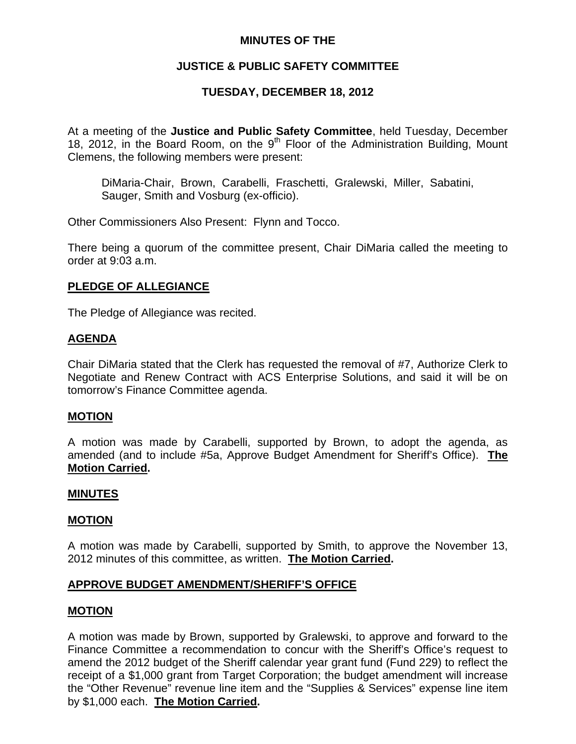### **MINUTES OF THE**

# **JUSTICE & PUBLIC SAFETY COMMITTEE**

# **TUESDAY, DECEMBER 18, 2012**

At a meeting of the **Justice and Public Safety Committee**, held Tuesday, December 18, 2012, in the Board Room, on the 9<sup>th</sup> Floor of the Administration Building, Mount Clemens, the following members were present:

DiMaria-Chair, Brown, Carabelli, Fraschetti, Gralewski, Miller, Sabatini, Sauger, Smith and Vosburg (ex-officio).

Other Commissioners Also Present: Flynn and Tocco.

There being a quorum of the committee present, Chair DiMaria called the meeting to order at 9:03 a.m.

### **PLEDGE OF ALLEGIANCE**

The Pledge of Allegiance was recited.

### **AGENDA**

Chair DiMaria stated that the Clerk has requested the removal of #7, Authorize Clerk to Negotiate and Renew Contract with ACS Enterprise Solutions, and said it will be on tomorrow's Finance Committee agenda.

#### **MOTION**

A motion was made by Carabelli, supported by Brown, to adopt the agenda, as amended (and to include #5a, Approve Budget Amendment for Sheriff's Office). **The Motion Carried.** 

#### **MINUTES**

#### **MOTION**

A motion was made by Carabelli, supported by Smith, to approve the November 13, 2012 minutes of this committee, as written. **The Motion Carried.** 

### **APPROVE BUDGET AMENDMENT/SHERIFF'S OFFICE**

#### **MOTION**

A motion was made by Brown, supported by Gralewski, to approve and forward to the Finance Committee a recommendation to concur with the Sheriff's Office's request to amend the 2012 budget of the Sheriff calendar year grant fund (Fund 229) to reflect the receipt of a \$1,000 grant from Target Corporation; the budget amendment will increase the "Other Revenue" revenue line item and the "Supplies & Services" expense line item by \$1,000 each. **The Motion Carried.**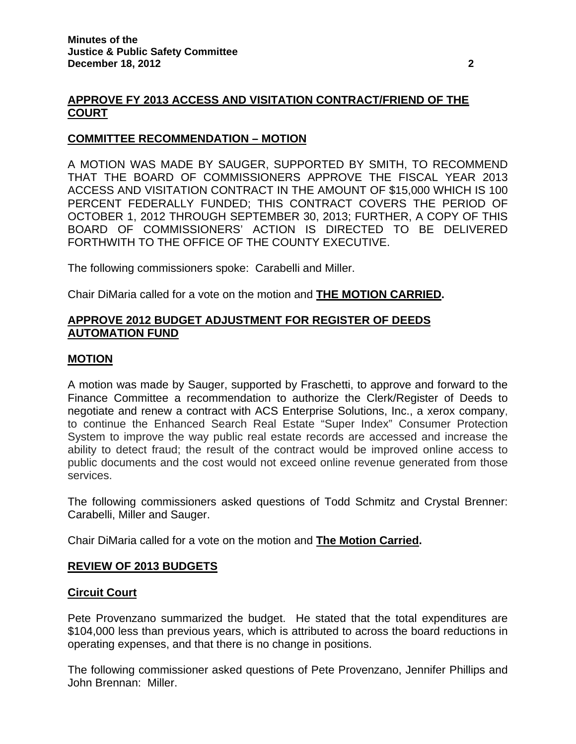### **APPROVE FY 2013 ACCESS AND VISITATION CONTRACT/FRIEND OF THE COURT**

### **COMMITTEE RECOMMENDATION – MOTION**

A MOTION WAS MADE BY SAUGER, SUPPORTED BY SMITH, TO RECOMMEND THAT THE BOARD OF COMMISSIONERS APPROVE THE FISCAL YEAR 2013 ACCESS AND VISITATION CONTRACT IN THE AMOUNT OF \$15,000 WHICH IS 100 PERCENT FEDERALLY FUNDED; THIS CONTRACT COVERS THE PERIOD OF OCTOBER 1, 2012 THROUGH SEPTEMBER 30, 2013; FURTHER, A COPY OF THIS BOARD OF COMMISSIONERS' ACTION IS DIRECTED TO BE DELIVERED FORTHWITH TO THE OFFICE OF THE COUNTY EXECUTIVE.

The following commissioners spoke: Carabelli and Miller.

Chair DiMaria called for a vote on the motion and **THE MOTION CARRIED.** 

### **APPROVE 2012 BUDGET ADJUSTMENT FOR REGISTER OF DEEDS AUTOMATION FUND**

#### **MOTION**

A motion was made by Sauger, supported by Fraschetti, to approve and forward to the Finance Committee a recommendation to authorize the Clerk/Register of Deeds to negotiate and renew a contract with ACS Enterprise Solutions, Inc., a xerox company, to continue the Enhanced Search Real Estate "Super Index" Consumer Protection System to improve the way public real estate records are accessed and increase the ability to detect fraud; the result of the contract would be improved online access to public documents and the cost would not exceed online revenue generated from those services.

The following commissioners asked questions of Todd Schmitz and Crystal Brenner: Carabelli, Miller and Sauger.

Chair DiMaria called for a vote on the motion and **The Motion Carried.** 

#### **REVIEW OF 2013 BUDGETS**

#### **Circuit Court**

Pete Provenzano summarized the budget. He stated that the total expenditures are \$104,000 less than previous years, which is attributed to across the board reductions in operating expenses, and that there is no change in positions.

The following commissioner asked questions of Pete Provenzano, Jennifer Phillips and John Brennan: Miller.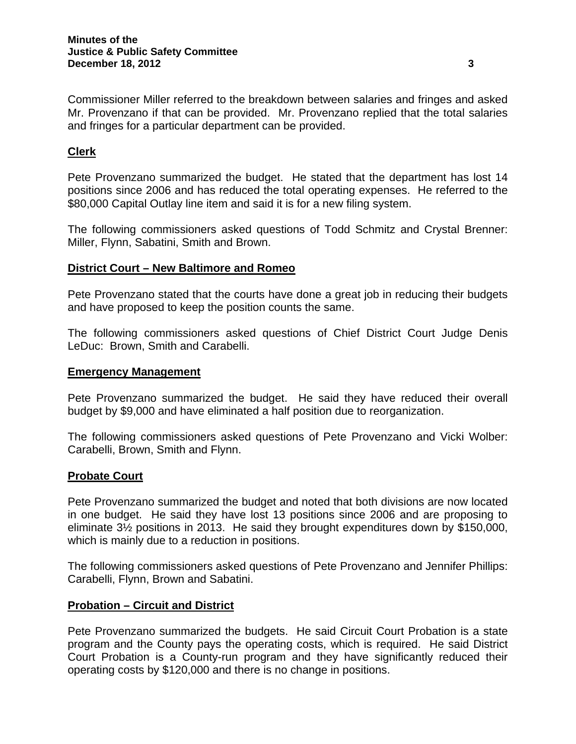Commissioner Miller referred to the breakdown between salaries and fringes and asked Mr. Provenzano if that can be provided. Mr. Provenzano replied that the total salaries and fringes for a particular department can be provided.

# **Clerk**

Pete Provenzano summarized the budget. He stated that the department has lost 14 positions since 2006 and has reduced the total operating expenses. He referred to the \$80,000 Capital Outlay line item and said it is for a new filing system.

The following commissioners asked questions of Todd Schmitz and Crystal Brenner: Miller, Flynn, Sabatini, Smith and Brown.

### **District Court – New Baltimore and Romeo**

Pete Provenzano stated that the courts have done a great job in reducing their budgets and have proposed to keep the position counts the same.

The following commissioners asked questions of Chief District Court Judge Denis LeDuc: Brown, Smith and Carabelli.

#### **Emergency Management**

Pete Provenzano summarized the budget. He said they have reduced their overall budget by \$9,000 and have eliminated a half position due to reorganization.

The following commissioners asked questions of Pete Provenzano and Vicki Wolber: Carabelli, Brown, Smith and Flynn.

#### **Probate Court**

Pete Provenzano summarized the budget and noted that both divisions are now located in one budget. He said they have lost 13 positions since 2006 and are proposing to eliminate 3½ positions in 2013. He said they brought expenditures down by \$150,000, which is mainly due to a reduction in positions.

The following commissioners asked questions of Pete Provenzano and Jennifer Phillips: Carabelli, Flynn, Brown and Sabatini.

#### **Probation – Circuit and District**

Pete Provenzano summarized the budgets. He said Circuit Court Probation is a state program and the County pays the operating costs, which is required. He said District Court Probation is a County-run program and they have significantly reduced their operating costs by \$120,000 and there is no change in positions.